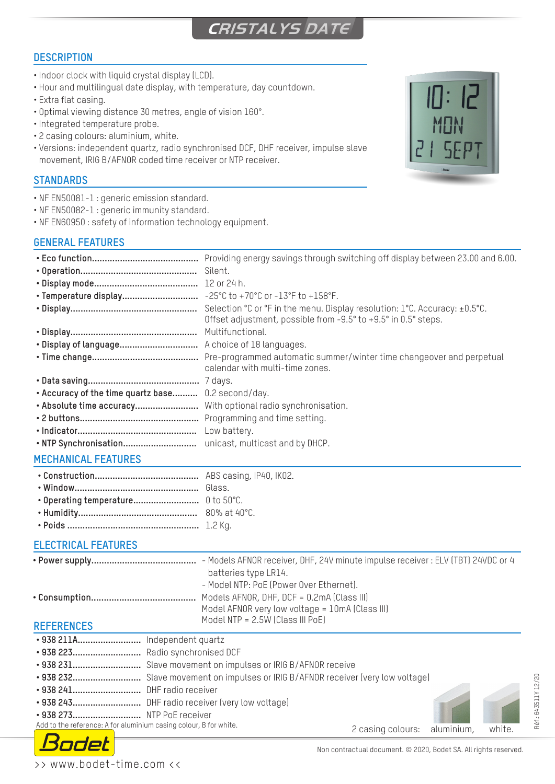# **CRISTALYS DATE**

## **DESCRIPTION**

- Indoor clock with liquid crystal display (LCD).
- Hour and multilingual date display, with temperature, day countdown.
- Extra flat casing.
- Optimal viewing distance 30 metres, angle of vision 160°.
- Integrated temperature probe.
- 2 casing colours: aluminium, white.
- Versions: independent quartz, radio synchronised DCF, DHF receiver, impulse slave movement, IRIG B/AFNOR coded time receiver or NTP receiver.

## **STANDARDS**

- NF EN50081-1 : generic emission standard.
- NF EN50082-1 : generic immunity standard.
- NF EN60950 : safety of information technology equipment.

## **GENERAL FEATURES**



## **ELECTRICAL FEATURES**

|                                                                   | - Models AFNOR receiver, DHF, 24V minute impulse receiver : ELV (TBT) 24VDC or 4                 |
|-------------------------------------------------------------------|--------------------------------------------------------------------------------------------------|
|                                                                   | batteries type LR14.<br>- Model NTP: PoE (Power Over Ethernet).                                  |
|                                                                   | Models AFNOR, DHF, DCF = $0.2$ mA (Class III)<br>Model AFNOR very low voltage = 10mA (Class III) |
| <b>REFERENCES</b>                                                 | Model NTP = 2.5W (Class III PoE)                                                                 |
| · 938 211A Independent quartz<br>• 938 223 Radio synchronised DCF |                                                                                                  |

- **• 938 231...........................** Slave movement on impulses or IRIG B/AFNOR receive
- **• 938 232...........................** Slave movement on impulses or IRIG B/AFNOR receiver (very low voltage)
- **• 938 241...........................** DHF radio receiver
- **• 938 243...........................** DHF radio receiver (very low voltage)
- **• 938 273...........................** NTP PoE receiver

Add to the reference: A for aluminium casing colour, B for white.



2 casing colours: aluminium, white.

Réf.: 643511Y 12/20

léf.: 643511Y 12/20